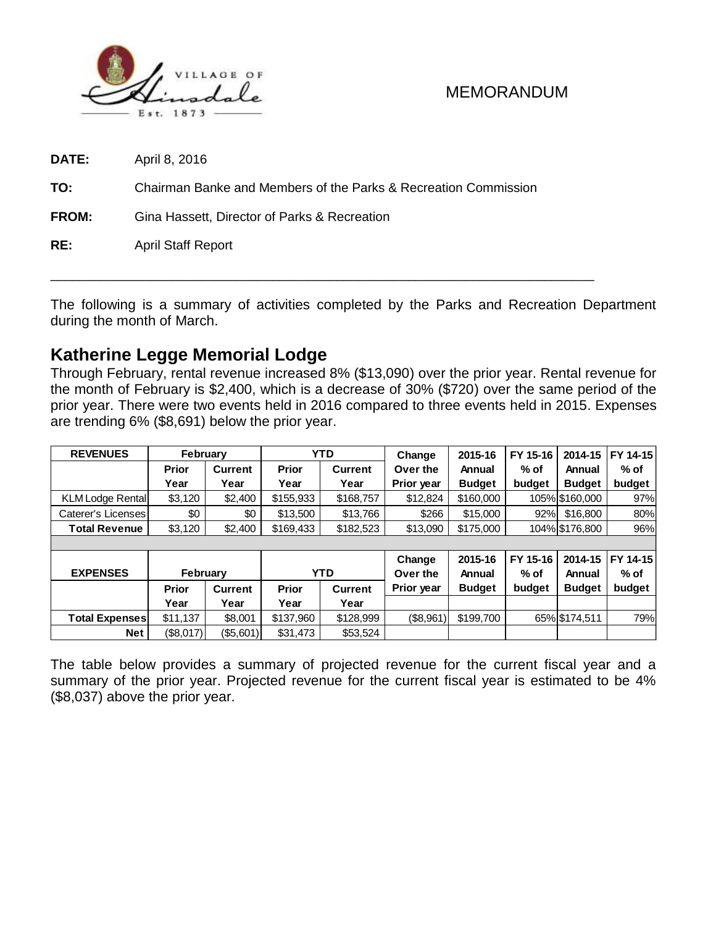

**DATE:** April 8, 2016

**TO:** Chairman Banke and Members of the Parks & Recreation Commission

**FROM:** Gina Hassett, Director of Parks & Recreation

**RE:** April Staff Report

The following is a summary of activities completed by the Parks and Recreation Department during the month of March.

\_\_\_\_\_\_\_\_\_\_\_\_\_\_\_\_\_\_\_\_\_\_\_\_\_\_\_\_\_\_\_\_\_\_\_\_\_\_\_\_\_\_\_\_\_\_\_\_\_\_\_\_\_\_\_\_\_\_\_\_\_\_\_\_\_\_\_\_\_\_\_\_\_\_\_\_

# **Katherine Legge Memorial Lodge**

Through February, rental revenue increased 8% (\$13,090) over the prior year. Rental revenue for the month of February is \$2,400, which is a decrease of 30% (\$720) over the same period of the prior year. There were two events held in 2016 compared to three events held in 2015. Expenses are trending 6% (\$8,691) below the prior year.

| <b>REVENUES</b>         | February     |                |              | <b>YTD</b> | Change     | 2015-16       | FY 15-16 | 2014-15        | FY 14-15 |
|-------------------------|--------------|----------------|--------------|------------|------------|---------------|----------|----------------|----------|
|                         | <b>Prior</b> | <b>Current</b> | <b>Prior</b> | Current    | Over the   | Annual        | $%$ of   | Annual         | $%$ of   |
|                         | Year         | Year           | Year         | Year       | Prior year | <b>Budget</b> | budget   | <b>Budget</b>  | budget   |
| <b>KLM Lodge Rental</b> | \$3,120      | \$2,400        | \$155,933    | \$168,757  | \$12,824   | \$160,000     |          | 105% \$160,000 | 97%      |
| Caterer's Licenses      | \$0          | \$0            | \$13,500     | \$13,766   | \$266      | \$15,000      | 92%      | \$16,800       | 80%      |
| <b>Total Revenue</b>    | \$3,120      | \$2,400        | \$169,433    | \$182,523  | \$13,090   | \$175,000     |          | 104% \$176,800 | 96%      |
|                         |              |                |              |            |            |               |          |                |          |
|                         |              |                |              |            | Change     | 2015-16       | FY 15-16 | 2014-15        | FY 14-15 |
| <b>EXPENSES</b>         | February     |                | <b>YTD</b>   |            | Over the   | Annual        | $%$ of   | Annual         | $%$ of   |
|                         | <b>Prior</b> | <b>Current</b> | <b>Prior</b> | Current    | Prior year | <b>Budget</b> | budget   | <b>Budget</b>  | budget   |
|                         | Year         | Year           | Year         | Year       |            |               |          |                |          |
| <b>Total Expenses</b>   | \$11,137     | \$8,001        | \$137,960    | \$128,999  | (\$8,961)  | \$199,700     |          | 65% \$174,511  | 79%      |
| <b>Net</b>              | (S8,017)     | ( \$5,601)     | \$31,473     | \$53,524   |            |               |          |                |          |

The table below provides a summary of projected revenue for the current fiscal year and a summary of the prior year. Projected revenue for the current fiscal year is estimated to be 4% (\$8,037) above the prior year.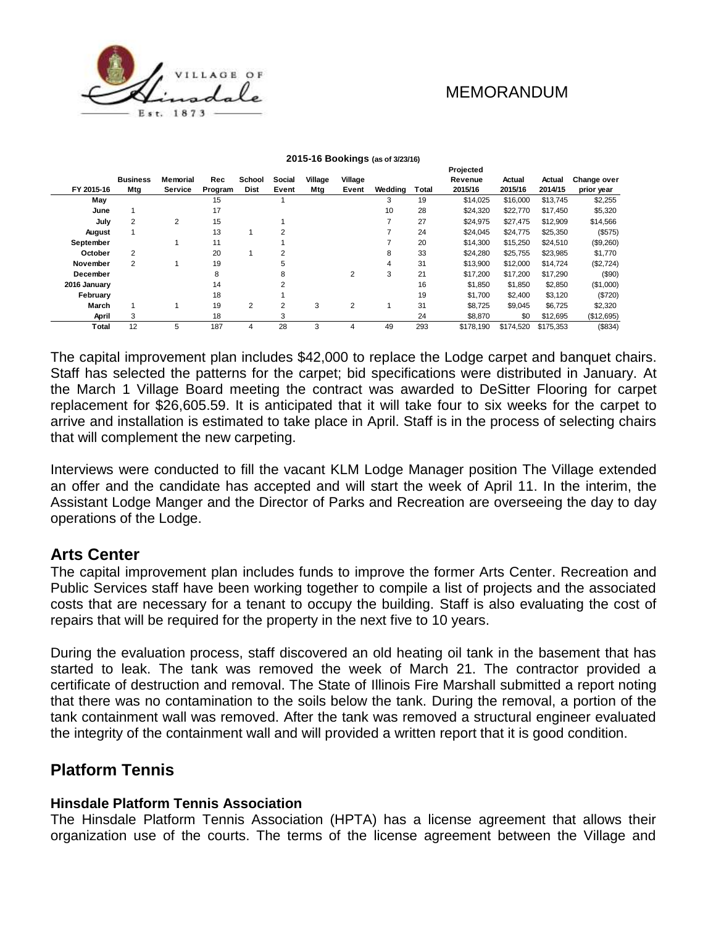**Projected**



|              |                 |                |         |             |                |         |                |         |       | riojecieu |           |           |             |
|--------------|-----------------|----------------|---------|-------------|----------------|---------|----------------|---------|-------|-----------|-----------|-----------|-------------|
|              | <b>Business</b> | Memorial       | Rec     | School      | Social         | Village | Village        |         |       | Revenue   | Actual    | Actual    | Change over |
| FY 2015-16   | Mtg             | <b>Service</b> | Program | <b>Dist</b> | Event          | Mtg     | Event          | Weddina | Total | 2015/16   | 2015/16   | 2014/15   | prior year  |
| May          |                 |                | 15      |             |                |         |                | 3       | 19    | \$14,025  | \$16,000  | \$13.745  | \$2,255     |
| June         |                 |                | 17      |             |                |         |                | 10      | 28    | \$24.320  | \$22,770  | \$17.450  | \$5,320     |
| July         | 2               | 2              | 15      |             |                |         |                |         | 27    | \$24,975  | \$27,475  | \$12.909  | \$14,566    |
| August       |                 |                | 13      |             | $\overline{2}$ |         |                |         | 24    | \$24,045  | \$24,775  | \$25,350  | (\$575)     |
| September    |                 |                | 11      |             |                |         |                |         | 20    | \$14,300  | \$15,250  | \$24,510  | (\$9,260)   |
| October      | 2               |                | 20      |             | 2              |         |                | 8       | 33    | \$24,280  | \$25,755  | \$23,985  | \$1,770     |
| November     | $\overline{2}$  |                | 19      |             | 5              |         |                | 4       | 31    | \$13,900  | \$12,000  | \$14.724  | (\$2,724)   |
| December     |                 |                | 8       |             | 8              |         | 2              | 3       | 21    | \$17,200  | \$17,200  | \$17,290  | (\$90)      |
| 2016 January |                 |                | 14      |             | 2              |         |                |         | 16    | \$1,850   | \$1,850   | \$2,850   | (\$1,000)   |
| Februarv     |                 |                | 18      |             |                |         |                |         | 19    | \$1,700   | \$2,400   | \$3,120   | (\$720)     |
| March        |                 |                | 19      | 2           | 2              | 3       | $\overline{c}$ |         | 31    | \$8.725   | \$9,045   | \$6.725   | \$2,320     |
| April        | 3               |                | 18      |             | 3              |         |                |         | 24    | \$8,870   | \$0       | \$12,695  | (\$12,695)  |
| Total        | 12              | 5              | 187     | 4           | 28             | 3       | 4              | 49      | 293   | \$178.190 | \$174.520 | \$175.353 | (\$834)     |
|              |                 |                |         |             |                |         |                |         |       |           |           |           |             |

#### **2015-16 Bookings (as of 3/23/16)**

The capital improvement plan includes \$42,000 to replace the Lodge carpet and banquet chairs. Staff has selected the patterns for the carpet; bid specifications were distributed in January. At the March 1 Village Board meeting the contract was awarded to DeSitter Flooring for carpet replacement for \$26,605.59. It is anticipated that it will take four to six weeks for the carpet to arrive and installation is estimated to take place in April. Staff is in the process of selecting chairs that will complement the new carpeting.

Interviews were conducted to fill the vacant KLM Lodge Manager position The Village extended an offer and the candidate has accepted and will start the week of April 11. In the interim, the Assistant Lodge Manger and the Director of Parks and Recreation are overseeing the day to day operations of the Lodge.

### **Arts Center**

The capital improvement plan includes funds to improve the former Arts Center. Recreation and Public Services staff have been working together to compile a list of projects and the associated costs that are necessary for a tenant to occupy the building. Staff is also evaluating the cost of repairs that will be required for the property in the next five to 10 years.

During the evaluation process, staff discovered an old heating oil tank in the basement that has started to leak. The tank was removed the week of March 21. The contractor provided a certificate of destruction and removal. The State of Illinois Fire Marshall submitted a report noting that there was no contamination to the soils below the tank. During the removal, a portion of the tank containment wall was removed. After the tank was removed a structural engineer evaluated the integrity of the containment wall and will provided a written report that it is good condition.

# **Platform Tennis**

### **Hinsdale Platform Tennis Association**

The Hinsdale Platform Tennis Association (HPTA) has a license agreement that allows their organization use of the courts. The terms of the license agreement between the Village and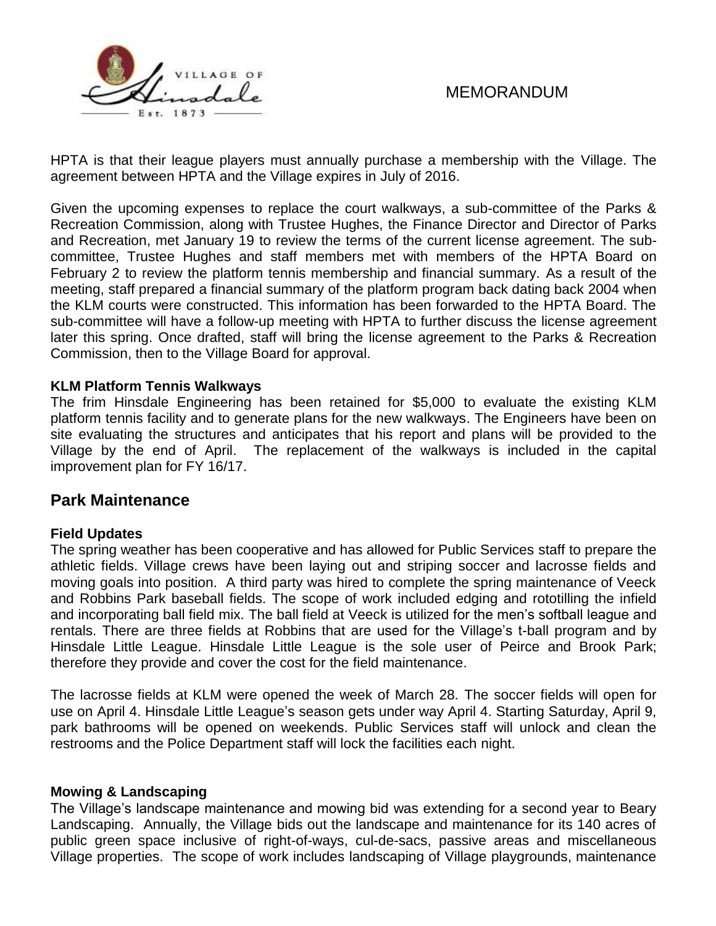

HPTA is that their league players must annually purchase a membership with the Village. The agreement between HPTA and the Village expires in July of 2016.

Given the upcoming expenses to replace the court walkways, a sub-committee of the Parks & Recreation Commission, along with Trustee Hughes, the Finance Director and Director of Parks and Recreation, met January 19 to review the terms of the current license agreement. The subcommittee, Trustee Hughes and staff members met with members of the HPTA Board on February 2 to review the platform tennis membership and financial summary. As a result of the meeting, staff prepared a financial summary of the platform program back dating back 2004 when the KLM courts were constructed. This information has been forwarded to the HPTA Board. The sub-committee will have a follow-up meeting with HPTA to further discuss the license agreement later this spring. Once drafted, staff will bring the license agreement to the Parks & Recreation Commission, then to the Village Board for approval.

### **KLM Platform Tennis Walkways**

The frim Hinsdale Engineering has been retained for \$5,000 to evaluate the existing KLM platform tennis facility and to generate plans for the new walkways. The Engineers have been on site evaluating the structures and anticipates that his report and plans will be provided to the Village by the end of April. The replacement of the walkways is included in the capital improvement plan for FY 16/17.

### **Park Maintenance**

### **Field Updates**

The spring weather has been cooperative and has allowed for Public Services staff to prepare the athletic fields. Village crews have been laying out and striping soccer and lacrosse fields and moving goals into position. A third party was hired to complete the spring maintenance of Veeck and Robbins Park baseball fields. The scope of work included edging and rototilling the infield and incorporating ball field mix. The ball field at Veeck is utilized for the men's softball league and rentals. There are three fields at Robbins that are used for the Village's t-ball program and by Hinsdale Little League. Hinsdale Little League is the sole user of Peirce and Brook Park; therefore they provide and cover the cost for the field maintenance.

The lacrosse fields at KLM were opened the week of March 28. The soccer fields will open for use on April 4. Hinsdale Little League's season gets under way April 4. Starting Saturday, April 9, park bathrooms will be opened on weekends. Public Services staff will unlock and clean the restrooms and the Police Department staff will lock the facilities each night.

### **Mowing & Landscaping**

The Village's landscape maintenance and mowing bid was extending for a second year to Beary Landscaping. Annually, the Village bids out the landscape and maintenance for its 140 acres of public green space inclusive of right-of-ways, cul-de-sacs, passive areas and miscellaneous Village properties. The scope of work includes landscaping of Village playgrounds, maintenance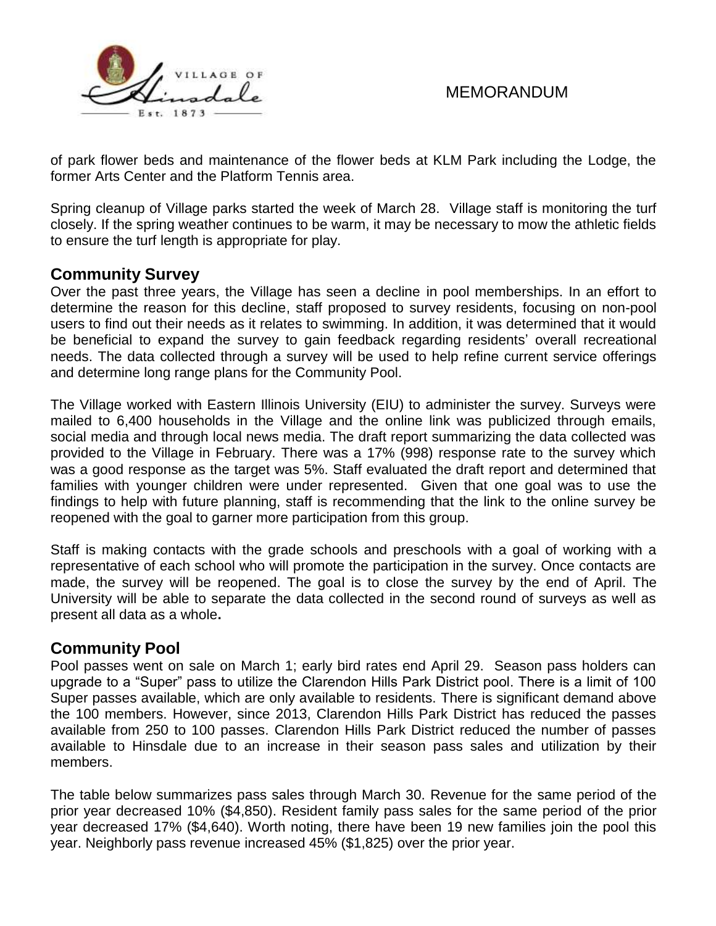

of park flower beds and maintenance of the flower beds at KLM Park including the Lodge, the former Arts Center and the Platform Tennis area.

Spring cleanup of Village parks started the week of March 28. Village staff is monitoring the turf closely. If the spring weather continues to be warm, it may be necessary to mow the athletic fields to ensure the turf length is appropriate for play.

# **Community Survey**

Over the past three years, the Village has seen a decline in pool memberships. In an effort to determine the reason for this decline, staff proposed to survey residents, focusing on non-pool users to find out their needs as it relates to swimming. In addition, it was determined that it would be beneficial to expand the survey to gain feedback regarding residents' overall recreational needs. The data collected through a survey will be used to help refine current service offerings and determine long range plans for the Community Pool.

The Village worked with Eastern Illinois University (EIU) to administer the survey. Surveys were mailed to 6,400 households in the Village and the online link was publicized through emails, social media and through local news media. The draft report summarizing the data collected was provided to the Village in February. There was a 17% (998) response rate to the survey which was a good response as the target was 5%. Staff evaluated the draft report and determined that families with younger children were under represented. Given that one goal was to use the findings to help with future planning, staff is recommending that the link to the online survey be reopened with the goal to garner more participation from this group.

Staff is making contacts with the grade schools and preschools with a goal of working with a representative of each school who will promote the participation in the survey. Once contacts are made, the survey will be reopened. The goal is to close the survey by the end of April. The University will be able to separate the data collected in the second round of surveys as well as present all data as a whole**.** 

# **Community Pool**

Pool passes went on sale on March 1; early bird rates end April 29. Season pass holders can upgrade to a "Super" pass to utilize the Clarendon Hills Park District pool. There is a limit of 100 Super passes available, which are only available to residents. There is significant demand above the 100 members. However, since 2013, Clarendon Hills Park District has reduced the passes available from 250 to 100 passes. Clarendon Hills Park District reduced the number of passes available to Hinsdale due to an increase in their season pass sales and utilization by their members.

The table below summarizes pass sales through March 30. Revenue for the same period of the prior year decreased 10% (\$4,850). Resident family pass sales for the same period of the prior year decreased 17% (\$4,640). Worth noting, there have been 19 new families join the pool this year. Neighborly pass revenue increased 45% (\$1,825) over the prior year.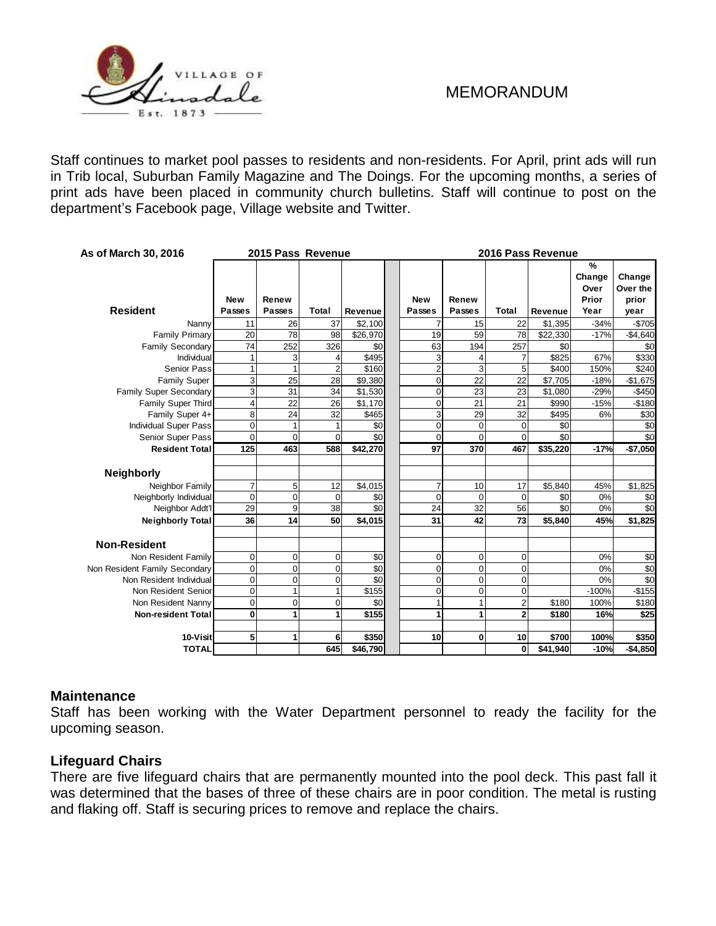

Staff continues to market pool passes to residents and non-residents. For April, print ads will run in Trib local, Suburban Family Magazine and The Doings. For the upcoming months, a series of print ads have been placed in community church bulletins. Staff will continue to post on the department's Facebook page, Village website and Twitter.

| As of March 30, 2016          | 2015 Pass Revenue           |                 |                |                   |  | 2016 Pass Revenue    |                        |                |          |                                      |                                     |  |
|-------------------------------|-----------------------------|-----------------|----------------|-------------------|--|----------------------|------------------------|----------------|----------|--------------------------------------|-------------------------------------|--|
| <b>Resident</b>               | <b>New</b><br><b>Passes</b> | Renew<br>Passes | Total          | <b>Revenue</b>    |  | <b>New</b><br>Passes | Renew<br><b>Passes</b> | <b>Total</b>   | Revenue  | %<br>Change<br>Over<br>Prior<br>Year | Change<br>Over the<br>prior<br>year |  |
| Nanny                         | 11                          | 26              | 37             | \$2,100           |  | $\overline{7}$       | 15                     | 22             | \$1,395  | $-34%$                               | $-$705$                             |  |
| <b>Family Primary</b>         | 20                          | 78              | 98             | \$26,970          |  | 19                   | 59                     | 78             | \$22,330 | $-17%$                               | $-$4,640$                           |  |
| <b>Family Secondary</b>       | 74                          | 252             | 326            | \$0               |  | 63                   | 194                    | 257            | \$0      |                                      | \$0                                 |  |
| Individual                    | 1                           | 3               | 4              | \$495             |  | 3                    |                        |                | \$825    | 67%                                  | \$330                               |  |
| <b>Senior Pass</b>            | 1                           |                 | $\overline{2}$ | \$160             |  | $\overline{2}$       | 3                      | 5              | \$400    | 150%                                 | \$240                               |  |
| <b>Family Super</b>           | 3                           | 25              | 28             | \$9,380           |  | $\mathbf 0$          | 22                     | 22             | \$7,705  | $-18%$                               | $-$1,675$                           |  |
| Family Super Secondary        | 3                           | 31              | 34             | \$1,530           |  | $\overline{0}$       | 23                     | 23             | \$1,080  | $-29%$                               | $-$450$                             |  |
| Family Super Third            | 4                           | 22              | 26             | \$1,170           |  | $\overline{0}$       | 21                     | 21             | \$990    | $-15%$                               | $-$180$                             |  |
| Family Super 4+               | 8                           | 24              | 32             | $\overline{$}465$ |  | $\overline{3}$       | 29                     | 32             | \$495    | 6%                                   | \$30                                |  |
| <b>Individual Super Pass</b>  | 0                           |                 |                | \$0               |  | $\overline{0}$       | $\Omega$               | $\mathbf 0$    | \$0      |                                      | \$0                                 |  |
| Senior Super Pass             | $\Omega$                    | $\Omega$        | $\Omega$       | \$0               |  | $\Omega$             | $\Omega$               | $\Omega$       | \$0      |                                      | \$0                                 |  |
| <b>Resident Total</b>         | 125                         | 463             | 588            | \$42,270          |  | 97                   | 370                    | 467            | \$35,220 | $-17%$                               | $-$7,050$                           |  |
| <b>Neighborly</b>             |                             |                 |                |                   |  |                      |                        |                |          |                                      |                                     |  |
| Neighbor Family               | $\overline{7}$              | 5               | 12             | \$4,015           |  | $\overline{7}$       | 10                     | 17             | \$5,840  | 45%                                  | $\overline{$}1,825$                 |  |
| Neighborly Individual         | $\overline{0}$              | 0               | $\mathbf 0$    | \$0               |  | $\overline{0}$       | $\Omega$               | $\Omega$       | \$0      | 0%                                   | \$0                                 |  |
| Neighbor Addt'l               | 29                          | 9               | 38             | \$0               |  | 24                   | 32                     | 56             | \$0      | 0%                                   | \$0                                 |  |
| <b>Neighborly Total</b>       | 36                          | 14              | 50             | \$4,015           |  | 31                   | 42                     | 73             | \$5,840  | 45%                                  | \$1,825                             |  |
| <b>Non-Resident</b>           |                             |                 |                |                   |  |                      |                        |                |          |                                      |                                     |  |
| Non Resident Family           | 0                           | $\overline{0}$  | $\mathbf 0$    | \$0               |  | $\overline{0}$       | $\Omega$               | 0              |          | 0%                                   | \$0                                 |  |
| Non Resident Family Secondary | 0                           | $\Omega$        | $\mathbf 0$    | \$0               |  | $\overline{0}$       | $\Omega$               | $\Omega$       |          | 0%                                   | \$0                                 |  |
| Non Resident Individual       | 0                           | $\mathbf 0$     | $\overline{0}$ | \$0               |  | $\overline{0}$       | $\Omega$               | 0              |          | 0%                                   | \$0                                 |  |
| Non Resident Senior           | 0                           |                 | 1              | \$155             |  | $\overline{0}$       | $\Omega$               | 0              |          | $-100%$                              | $-$155$                             |  |
| Non Resident Nanny            | $\overline{0}$              | $\Omega$        | $\Omega$       | \$0               |  | 1                    |                        | $\overline{2}$ | \$180    | 100%                                 | \$180                               |  |
| <b>Non-resident Total</b>     | 0                           | 1               | 1              | \$155             |  | $\mathbf{1}$         | 1                      | $\overline{2}$ | \$180    | 16%                                  | \$25                                |  |
| 10-Visit                      | 5                           | 1               | 6              | \$350             |  | 10                   | 0                      | 10             | \$700    | 100%                                 | \$350                               |  |
| <b>TOTAL</b>                  |                             |                 | 645            | \$46,790          |  |                      |                        | 0              | \$41,940 | $-10%$                               | $-$4,850$                           |  |

### **Maintenance**

Staff has been working with the Water Department personnel to ready the facility for the upcoming season.

### **Lifeguard Chairs**

There are five lifeguard chairs that are permanently mounted into the pool deck. This past fall it was determined that the bases of three of these chairs are in poor condition. The metal is rusting and flaking off. Staff is securing prices to remove and replace the chairs.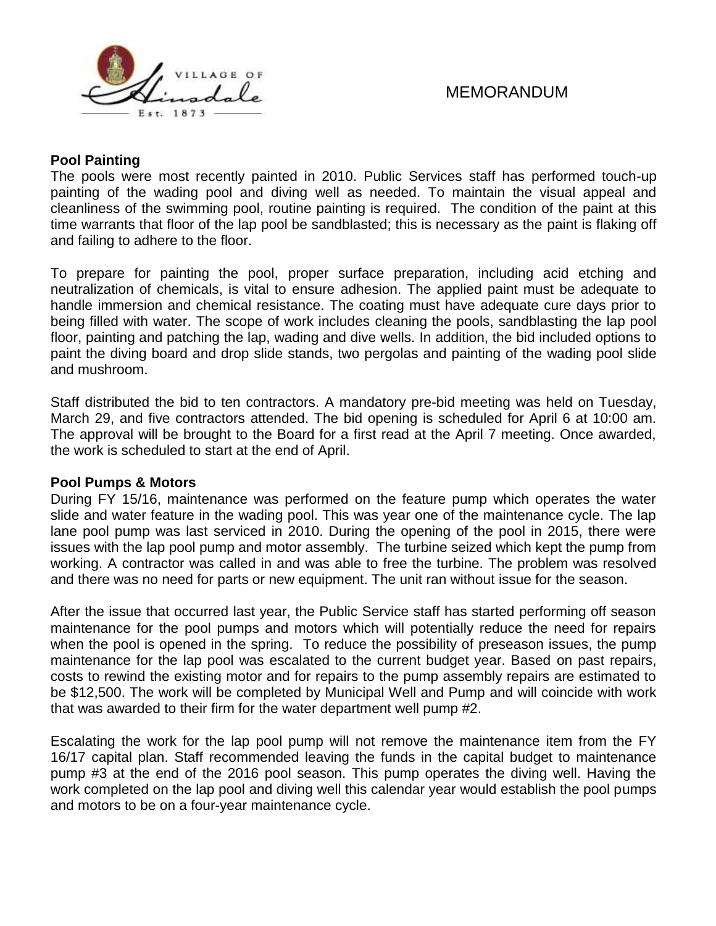

### **Pool Painting**

The pools were most recently painted in 2010. Public Services staff has performed touch-up painting of the wading pool and diving well as needed. To maintain the visual appeal and cleanliness of the swimming pool, routine painting is required. The condition of the paint at this time warrants that floor of the lap pool be sandblasted; this is necessary as the paint is flaking off and failing to adhere to the floor.

To prepare for painting the pool, proper surface preparation, including acid etching and neutralization of chemicals, is vital to ensure adhesion. The applied paint must be adequate to handle immersion and chemical resistance. The coating must have adequate cure days prior to being filled with water. The scope of work includes cleaning the pools, sandblasting the lap pool floor, painting and patching the lap, wading and dive wells. In addition, the bid included options to paint the diving board and drop slide stands, two pergolas and painting of the wading pool slide and mushroom.

Staff distributed the bid to ten contractors. A mandatory pre-bid meeting was held on Tuesday, March 29, and five contractors attended. The bid opening is scheduled for April 6 at 10:00 am. The approval will be brought to the Board for a first read at the April 7 meeting. Once awarded, the work is scheduled to start at the end of April.

### **Pool Pumps & Motors**

During FY 15/16, maintenance was performed on the feature pump which operates the water slide and water feature in the wading pool. This was year one of the maintenance cycle. The lap lane pool pump was last serviced in 2010. During the opening of the pool in 2015, there were issues with the lap pool pump and motor assembly. The turbine seized which kept the pump from working. A contractor was called in and was able to free the turbine. The problem was resolved and there was no need for parts or new equipment. The unit ran without issue for the season.

After the issue that occurred last year, the Public Service staff has started performing off season maintenance for the pool pumps and motors which will potentially reduce the need for repairs when the pool is opened in the spring. To reduce the possibility of preseason issues, the pump maintenance for the lap pool was escalated to the current budget year. Based on past repairs, costs to rewind the existing motor and for repairs to the pump assembly repairs are estimated to be \$12,500. The work will be completed by Municipal Well and Pump and will coincide with work that was awarded to their firm for the water department well pump #2.

Escalating the work for the lap pool pump will not remove the maintenance item from the FY 16/17 capital plan. Staff recommended leaving the funds in the capital budget to maintenance pump #3 at the end of the 2016 pool season. This pump operates the diving well. Having the work completed on the lap pool and diving well this calendar year would establish the pool pumps and motors to be on a four-year maintenance cycle.